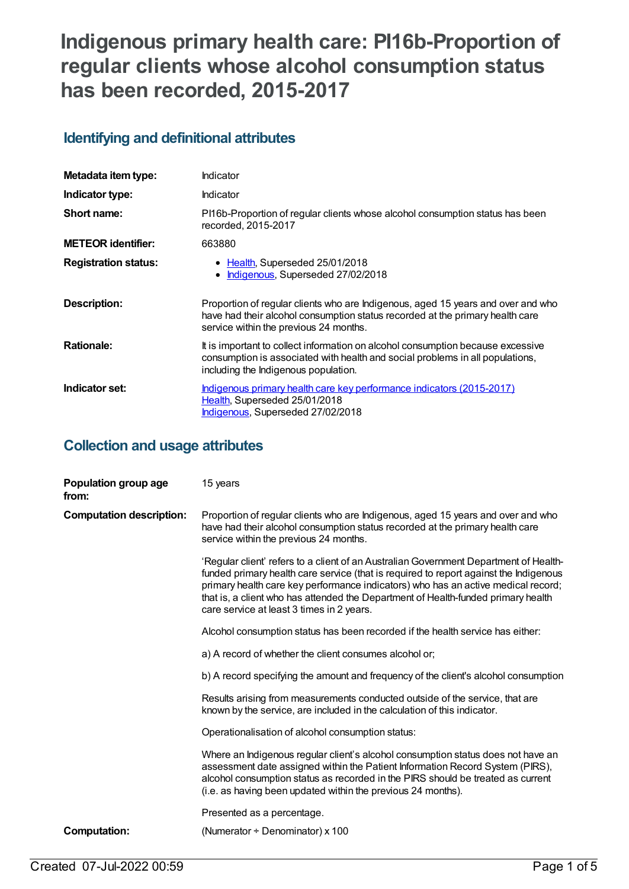# **Indigenous primary health care: PI16b-Proportion of regular clients whose alcohol consumption status has been recorded, 2015-2017**

# **Identifying and definitional attributes**

| Metadata item type:         | Indicator                                                                                                                                                                                                   |
|-----------------------------|-------------------------------------------------------------------------------------------------------------------------------------------------------------------------------------------------------------|
| Indicator type:             | Indicator                                                                                                                                                                                                   |
| Short name:                 | PI16b-Proportion of regular clients whose alcohol consumption status has been<br>recorded, 2015-2017                                                                                                        |
| <b>METEOR identifier:</b>   | 663880                                                                                                                                                                                                      |
| <b>Registration status:</b> | • Health, Superseded 25/01/2018<br>Indigenous, Superseded 27/02/2018<br>$\bullet$                                                                                                                           |
| Description:                | Proportion of regular clients who are Indigenous, aged 15 years and over and who<br>have had their alcohol consumption status recorded at the primary health care<br>service within the previous 24 months. |
| <b>Rationale:</b>           | It is important to collect information on alcohol consumption because excessive<br>consumption is associated with health and social problems in all populations,<br>including the Indigenous population.    |
| Indicator set:              | Indigenous primary health care key performance indicators (2015-2017)<br>Health, Superseded 25/01/2018<br><b>Indigenous, Superseded 27/02/2018</b>                                                          |

# **Collection and usage attributes**

| Population group age<br>from:   | 15 years                                                                                                                                                                                                                                                                                                                                                                                              |
|---------------------------------|-------------------------------------------------------------------------------------------------------------------------------------------------------------------------------------------------------------------------------------------------------------------------------------------------------------------------------------------------------------------------------------------------------|
| <b>Computation description:</b> | Proportion of regular clients who are Indigenous, aged 15 years and over and who<br>have had their alcohol consumption status recorded at the primary health care<br>service within the previous 24 months.                                                                                                                                                                                           |
|                                 | 'Regular client' refers to a client of an Australian Government Department of Health-<br>funded primary health care service (that is required to report against the Indigenous<br>primary health care key performance indicators) who has an active medical record;<br>that is, a client who has attended the Department of Health-funded primary health<br>care service at least 3 times in 2 years. |
|                                 | Alcohol consumption status has been recorded if the health service has either:                                                                                                                                                                                                                                                                                                                        |
|                                 | a) A record of whether the client consumes alcohol or;                                                                                                                                                                                                                                                                                                                                                |
|                                 | b) A record specifying the amount and frequency of the client's alcohol consumption                                                                                                                                                                                                                                                                                                                   |
|                                 | Results arising from measurements conducted outside of the service, that are<br>known by the service, are included in the calculation of this indicator.                                                                                                                                                                                                                                              |
|                                 | Operationalisation of alcohol consumption status:                                                                                                                                                                                                                                                                                                                                                     |
|                                 | Where an Indigenous regular client's alcohol consumption status does not have an<br>assessment date assigned within the Patient Information Record System (PIRS),<br>alcohol consumption status as recorded in the PIRS should be treated as current<br>(i.e. as having been updated within the previous 24 months).                                                                                  |
|                                 | Presented as a percentage.                                                                                                                                                                                                                                                                                                                                                                            |
| <b>Computation:</b>             | (Numerator $\div$ Denominator) x 100                                                                                                                                                                                                                                                                                                                                                                  |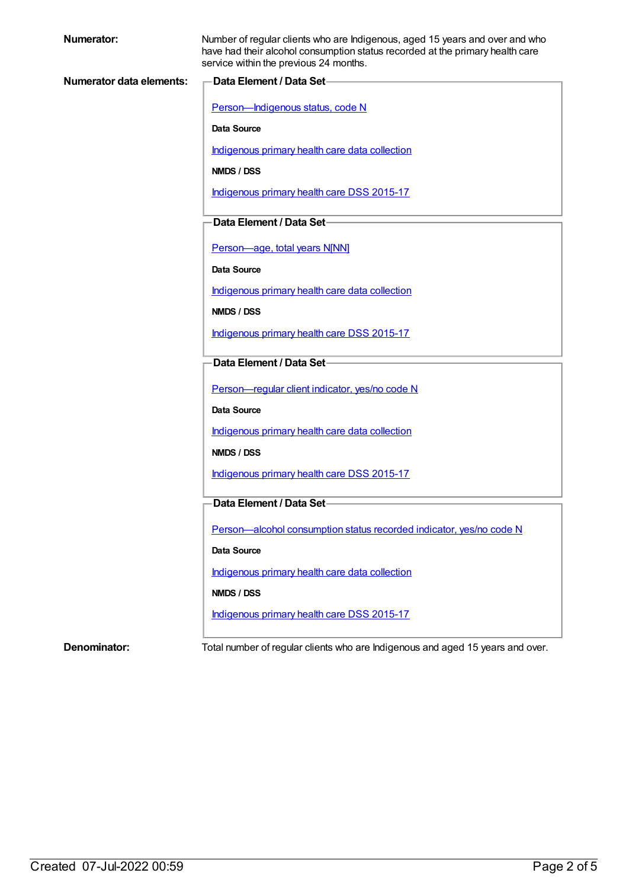| Numerator:                      | Number of regular clients who are Indigenous, aged 15 years and over and who<br>have had their alcohol consumption status recorded at the primary health care<br>service within the previous 24 months. |  |
|---------------------------------|---------------------------------------------------------------------------------------------------------------------------------------------------------------------------------------------------------|--|
| <b>Numerator data elements:</b> | Data Element / Data Set-                                                                                                                                                                                |  |
|                                 | Person-Indigenous status, code N                                                                                                                                                                        |  |
|                                 | Data Source                                                                                                                                                                                             |  |
|                                 | Indigenous primary health care data collection                                                                                                                                                          |  |
|                                 | NMDS / DSS                                                                                                                                                                                              |  |
|                                 | Indigenous primary health care DSS 2015-17                                                                                                                                                              |  |
|                                 |                                                                                                                                                                                                         |  |
|                                 | Data Element / Data Set-                                                                                                                                                                                |  |
|                                 | Person-age, total years N[NN]                                                                                                                                                                           |  |
|                                 | Data Source                                                                                                                                                                                             |  |
|                                 | Indigenous primary health care data collection                                                                                                                                                          |  |
|                                 | <b>NMDS / DSS</b>                                                                                                                                                                                       |  |
|                                 | Indigenous primary health care DSS 2015-17                                                                                                                                                              |  |
|                                 | Data Element / Data Set-                                                                                                                                                                                |  |
|                                 |                                                                                                                                                                                                         |  |
|                                 | Person-regular client indicator, yes/no code N                                                                                                                                                          |  |
|                                 | Data Source                                                                                                                                                                                             |  |
|                                 | Indigenous primary health care data collection                                                                                                                                                          |  |
|                                 | <b>NMDS / DSS</b>                                                                                                                                                                                       |  |
|                                 | Indigenous primary health care DSS 2015-17                                                                                                                                                              |  |
|                                 | Data Element / Data Set-                                                                                                                                                                                |  |
|                                 | Person-alcohol consumption status recorded indicator, yes/no code N                                                                                                                                     |  |
|                                 | Data Source                                                                                                                                                                                             |  |
|                                 | Indigenous primary health care data collection                                                                                                                                                          |  |
|                                 | NMDS / DSS                                                                                                                                                                                              |  |
|                                 | Indigenous primary health care DSS 2015-17                                                                                                                                                              |  |
|                                 |                                                                                                                                                                                                         |  |
| Denominator:                    | Total number of regular clients who are Indigenous and aged 15 years and over.                                                                                                                          |  |
|                                 |                                                                                                                                                                                                         |  |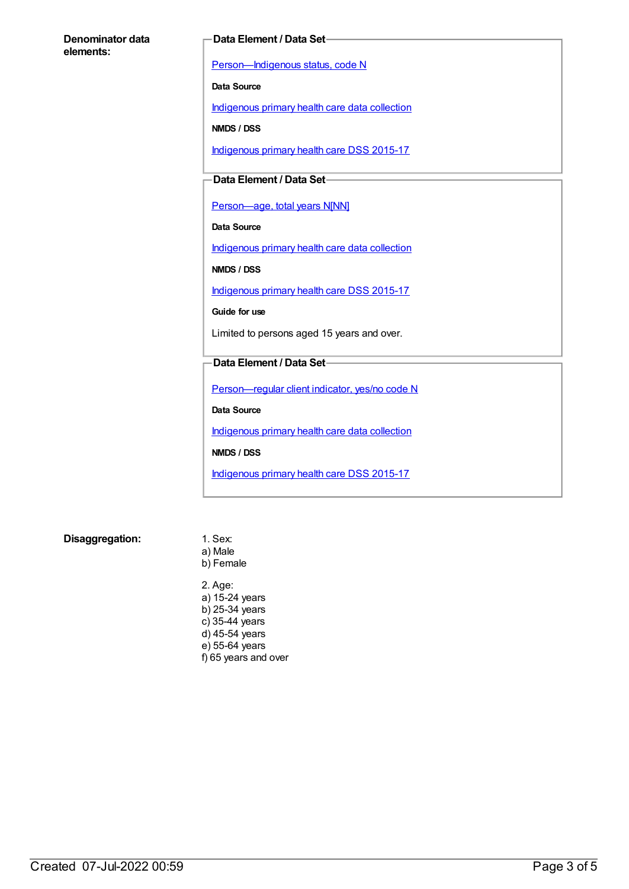#### **Denominator data elements:**

#### **Data Element / Data Set**

[Person—Indigenous](https://meteor.aihw.gov.au/content/291036) status, code N

**Data Source**

[Indigenous](https://meteor.aihw.gov.au/content/430643) primary health care data collection

**NMDS / DSS**

[Indigenous](https://meteor.aihw.gov.au/content/585036) primary health care DSS 2015-17

### **Data Element / Data Set**

[Person—age,](https://meteor.aihw.gov.au/content/303794) total years N[NN]

**Data Source**

[Indigenous](https://meteor.aihw.gov.au/content/430643) primary health care data collection

**NMDS / DSS**

[Indigenous](https://meteor.aihw.gov.au/content/585036) primary health care DSS 2015-17

**Guide for use**

Limited to persons aged 15 years and over.

#### **Data Element / Data Set**

[Person—regular](https://meteor.aihw.gov.au/content/436639) client indicator, yes/no code N

**Data Source**

[Indigenous](https://meteor.aihw.gov.au/content/430643) primary health care data collection

**NMDS / DSS**

[Indigenous](https://meteor.aihw.gov.au/content/585036) primary health care DSS 2015-17

**Disaggregation:** 1. Sex:

a) Male b) Female

2. Age: a) 15-24 years b) 25-34 years c) 35-44 years d) 45-54 years e) 55-64 years f) 65 years and over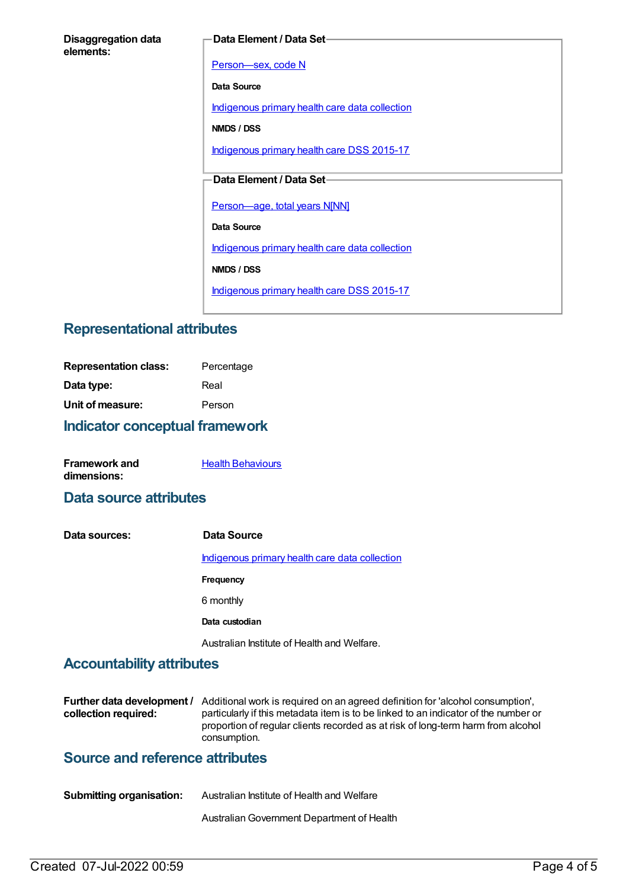#### **Data Element / Data Set**

[Person—sex,](https://meteor.aihw.gov.au/content/287316) code N

**Data Source**

[Indigenous](https://meteor.aihw.gov.au/content/430643) primary health care data collection

**NMDS / DSS**

[Indigenous](https://meteor.aihw.gov.au/content/585036) primary health care DSS 2015-17

### **Data Element / Data Set**

[Person—age,](https://meteor.aihw.gov.au/content/303794) total years N[NN]

**Data Source**

[Indigenous](https://meteor.aihw.gov.au/content/430643) primary health care data collection

**NMDS / DSS**

[Indigenous](https://meteor.aihw.gov.au/content/585036) primary health care DSS 2015-17

# **Representational attributes**

| <b>Indicator conceptual framework</b> |            |
|---------------------------------------|------------|
| Unit of measure:                      | Person     |
| Data type:                            | Real       |
| <b>Representation class:</b>          | Percentage |

| <b>Framework and</b> | <b>Health Behaviours</b> |
|----------------------|--------------------------|
| dimensions:          |                          |

# **Data source attributes**

**Data sources: Data Source** [Indigenous](https://meteor.aihw.gov.au/content/430643) primary health care data collection **Frequency** 6 monthly **Data custodian** Australian Institute of Health and Welfare.

# **Accountability attributes**

**Further data development /** Additional work is required on an agreed definition for 'alcohol consumption', **collection required:** particularly if this metadata item is to be linked to an indicator of the number or proportion of regular clients recorded as at risk of long-term harm from alcohol consumption.

### **Source and reference attributes**

| <b>Submitting organisation:</b> | Australian Institute of Health and Welfare |
|---------------------------------|--------------------------------------------|
|                                 |                                            |

AustralianGovernment Department of Health